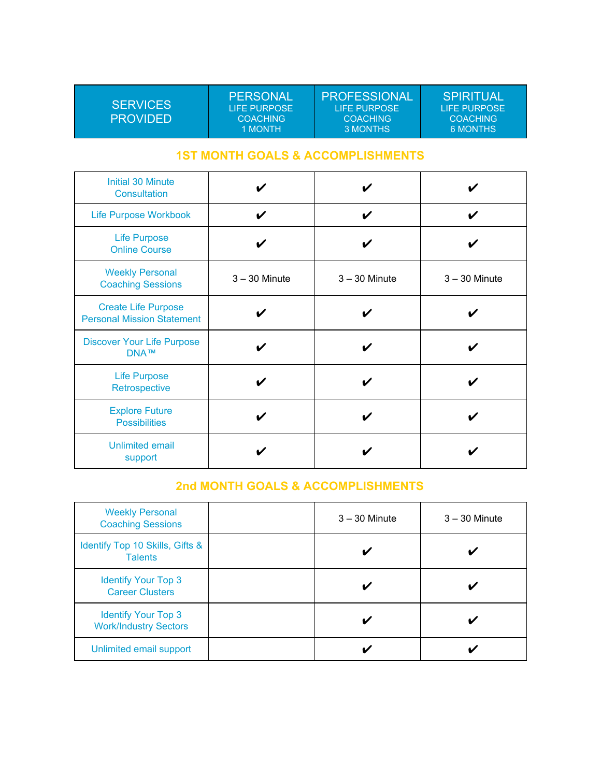| <b>SERVICES</b><br><b>PROVIDED</b> | <b>PERSONAL</b><br>LIFE PURPOSE<br><b>COACHING</b><br>1 MONTH | PROFESSIONAL<br>LIFE PURPOSE<br>COACHING<br>3 MONTHS | <b>SPIRITUAL</b><br>LIFE PURPOSE<br><b>COACHING</b><br>6 MONTHS |
|------------------------------------|---------------------------------------------------------------|------------------------------------------------------|-----------------------------------------------------------------|
|------------------------------------|---------------------------------------------------------------|------------------------------------------------------|-----------------------------------------------------------------|

## **1ST MONTH GOALS & ACCOMPLISHMENTS**

| Initial 30 Minute<br><b>Consultation</b>                        | V               | V               |                 |
|-----------------------------------------------------------------|-----------------|-----------------|-----------------|
| <b>Life Purpose Workbook</b>                                    | V               | V               | V               |
| <b>Life Purpose</b><br><b>Online Course</b>                     | V               | V               | V               |
| <b>Weekly Personal</b><br><b>Coaching Sessions</b>              | $3 - 30$ Minute | $3 - 30$ Minute | $3 - 30$ Minute |
| <b>Create Life Purpose</b><br><b>Personal Mission Statement</b> | V               | V               | v               |
| <b>Discover Your Life Purpose</b><br><b>DNA<sub>TM</sub></b>    | V               |                 |                 |
| <b>Life Purpose</b><br>Retrospective                            | V               | V               | V               |
| <b>Explore Future</b><br><b>Possibilities</b>                   | V               | V               |                 |
| <b>Unlimited email</b><br>support                               |                 |                 |                 |

## **2nd MONTH GOALS & ACCOMPLISHMENTS**

| <b>Weekly Personal</b><br><b>Coaching Sessions</b>         | $3 - 30$ Minute | $3 - 30$ Minute |
|------------------------------------------------------------|-----------------|-----------------|
| Identify Top 10 Skills, Gifts &<br><b>Talents</b>          | V               |                 |
| <b>Identify Your Top 3</b><br><b>Career Clusters</b>       | V               |                 |
| <b>Identify Your Top 3</b><br><b>Work/Industry Sectors</b> | v               |                 |
| Unlimited email support                                    | v               |                 |